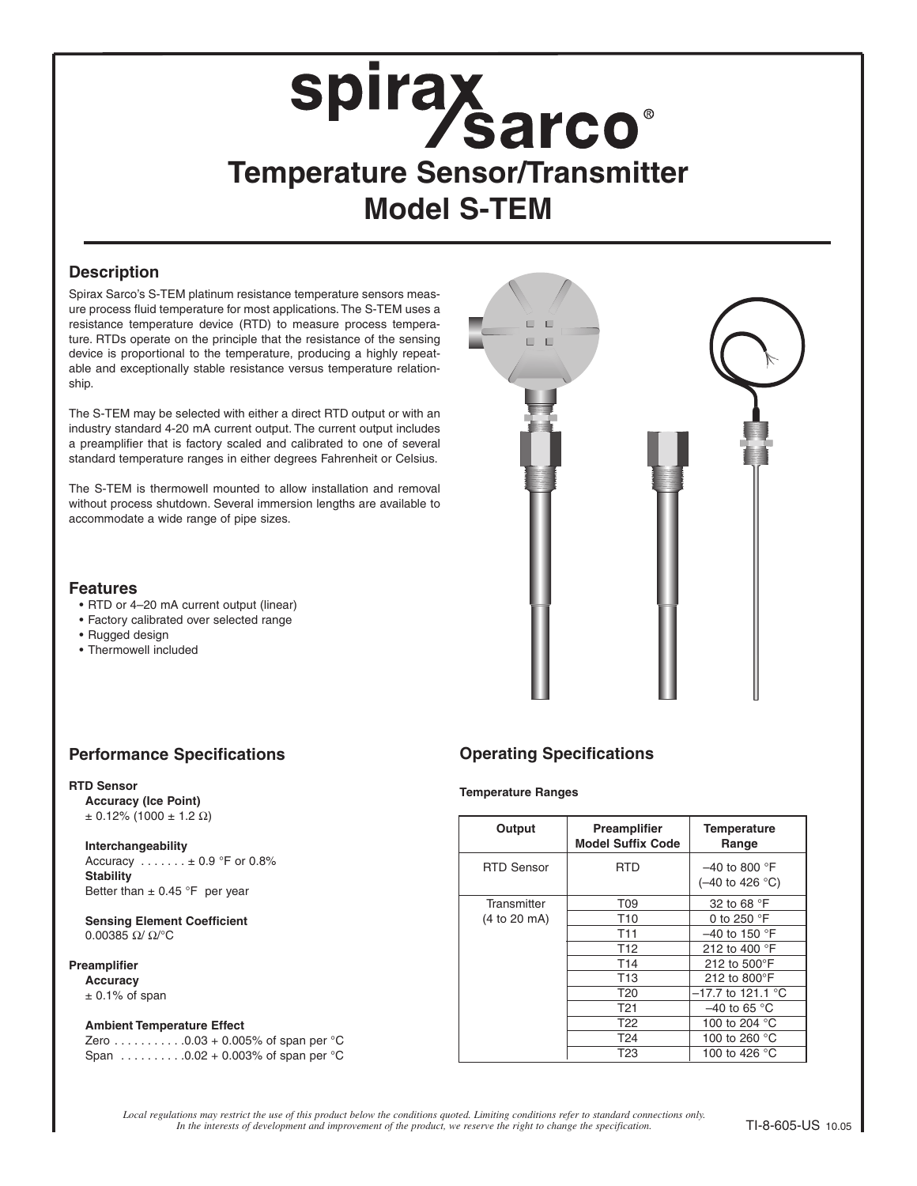# **Spirax<br>Temperature Sensor/Transmitter Model S-TEM**

### **Description**

Spirax Sarco's S-TEM platinum resistance temperature sensors measure process fluid temperature for most applications. The S-TEM uses a resistance temperature device (RTD) to measure process temperature. RTDs operate on the principle that the resistance of the sensing device is proportional to the temperature, producing a highly repeatable and exceptionally stable resistance versus temperature relationship.

The S-TEM may be selected with either a direct RTD output or with an industry standard 4-20 mA current output. The current output includes a preamplifier that is factory scaled and calibrated to one of several standard temperature ranges in either degrees Fahrenheit or Celsius.

The S-TEM is thermowell mounted to allow installation and removal without process shutdown. Several immersion lengths are available to accommodate a wide range of pipe sizes.



### **Features**

- RTD or 4–20 mA current output (linear)
- Factory calibrated over selected range
- Rugged design
- Thermowell included

### **Performance Specifications Operating Specifications**

### **RTD Sensor**

**Accuracy (Ice Point)**  $± 0.12\% (1000 ± 1.2 Ω)$ 

### **Interchangeability**

Accuracy . . . . . . . ± 0.9 °F or 0.8% **Stability** Better than  $\pm$  0.45 °F per year

**Sensing Element Coefficient** 0.00385 Ω/ Ω/°C

### **Preamplifier**

**Accuracy**  $±$  0.1% of span

### **Ambient Temperature Effect**

Zero  $\ldots$  . . . . . . . . 0.03 + 0.005% of span per  ${}^{\circ}$ C Span . . . . . . . . . .0.02 + 0.003% of span per °C

### **Temperature Ranges**

| Output            | <b>Preamplifier</b><br><b>Model Suffix Code</b> | <b>Temperature</b><br>Range        |
|-------------------|-------------------------------------------------|------------------------------------|
| <b>RTD Sensor</b> | <b>RTD</b>                                      | $-40$ to 800 °F<br>(-40 to 426 °C) |
| Transmitter       | T09                                             | 32 to 68 °F                        |
| (4 to 20 mA)      | T <sub>10</sub>                                 | 0 to 250 $\degree$ F               |
|                   | T11                                             | $-40$ to 150 °F                    |
|                   | T <sub>12</sub>                                 | 212 to 400 °F                      |
|                   | T14                                             | 212 to 500°F                       |
|                   | T <sub>13</sub>                                 | 212 to 800°F                       |
|                   | T <sub>20</sub>                                 | $-17.7$ to 121.1 °C                |
|                   | T21                                             | $-40$ to 65 °C                     |
|                   | T22                                             | 100 to 204 °C                      |
|                   | T24                                             | 100 to 260 °C                      |
|                   | T23                                             | 100 to 426 °C                      |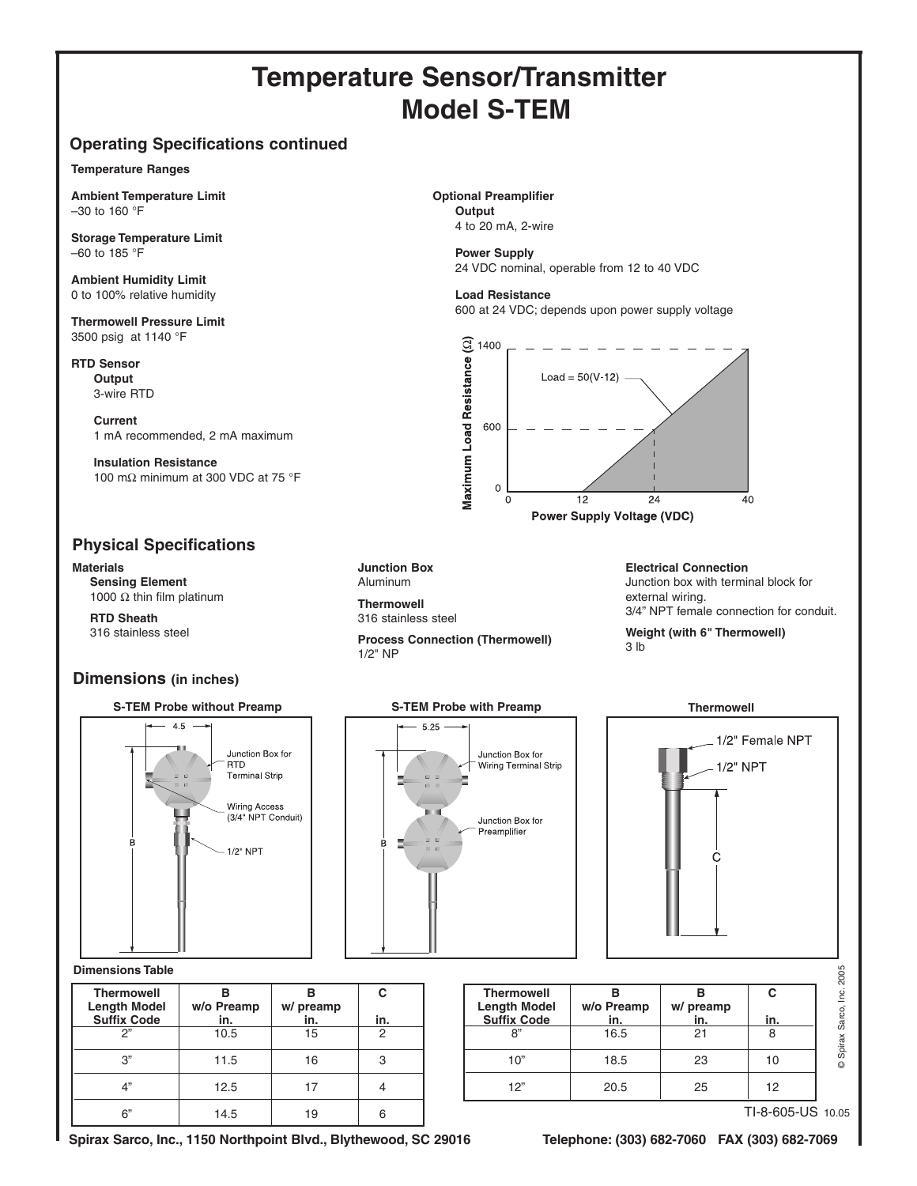## **Temperature Sensor/Transmitter Model S-TEM**

### **Operating Specifications continued**

### **Temperature Ranges**

**Ambient Temperature Limit** –30 to 160 °F

**Storage Temperature Limit** –60 to 185 °F

**Ambient Humidity Limit** 0 to 100% relative humidity

**Thermowell Pressure Limit** 3500 psig at 1140 °F

**RTD Sensor Output** 3-wire RTD

**Current** 1 mA recommended, 2 mA maximum

**Insulation Resistance** 100 mΩ minimum at 300 VDC at 75 °F

### **Physical Specifications**

**Materials**

**Sensing Element** 1000  $Ω$  thin film platinum

**RTD Sheath** 316 stainless steel

### **Dimensions (in inches)**





### **Dimensions Table**

| <b>Thermowell</b><br><b>Length Model</b> | R<br>w/o Preamp | w/ preamp | C   |  |
|------------------------------------------|-----------------|-----------|-----|--|
| <b>Suffix Code</b>                       | in.             | in.       | in. |  |
| ጋ"                                       | 10.5            | 15        | っ   |  |
| 3"                                       | 11.5            | 16        | З   |  |
| A"                                       | 12.5            | 17        |     |  |
| ና"                                       | 14.5            | 19        |     |  |

**Junction Box** Aluminum

**Thermowell** 316 stainless steel

**Process Connection (Thermowell)** 1/2" NP

**Optional Preamplifier Output** 4 to 20 mA, 2-wire

> **Power Supply** 24 VDC nominal, operable from 12 to 40 VDC

**Load Resistance** 600 at 24 VDC; depends upon power supply voltage



**Power Supply Voltage (VDC)** 

**Electrical Connection** Junction box with terminal block for external wiring. 3/4" NPT female connection for conduit.

**Weight (with 6" Thermowell)** 3 lb





| <b>Thermowell</b><br><b>Length Model</b><br><b>Suffix Code</b> | w/o Preamp<br>in. | w/ preamp<br>in. | С<br>in. |
|----------------------------------------------------------------|-------------------|------------------|----------|
| ጸ"                                                             | 16.5              | 21               | 8        |
| 10"                                                            | 18.5              | 23               | 10       |
| 12"                                                            | 20.5              | 25               | 12       |

TI-8-605-US 10.05

**Spirax Sarco, Inc., 1150 Northpoint Blvd., Blythewood, SC 29016 Telephone: (303) 682-7060 FAX (303) 682-7069**